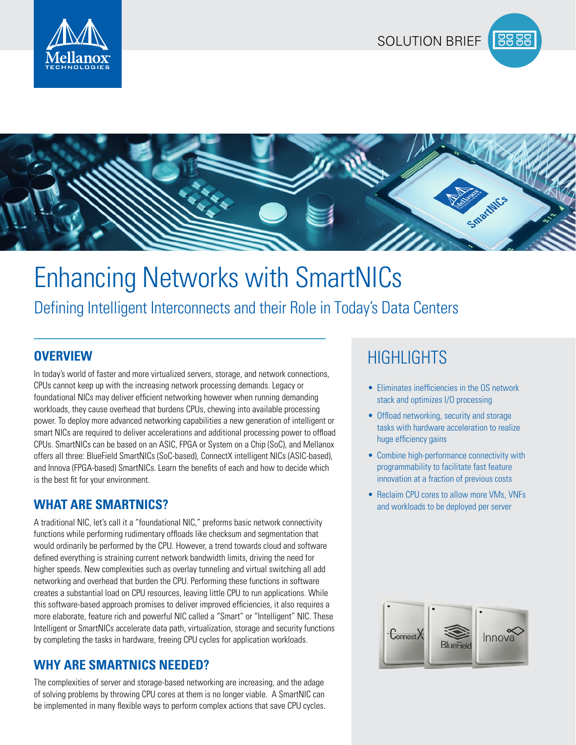





# Enhancing Networks with SmartNICs

Defining Intelligent Interconnects and their Role in Today's Data Centers

In today's world of faster and more virtualized servers, storage, and network connections, CPUs cannot keep up with the increasing network processing demands. Legacy or foundational NICs may deliver efficient networking however when running demanding workloads, they cause overhead that burdens CPUs, chewing into available processing power. To deploy more advanced networking capabilities a new generation of intelligent or smart NICs are required to deliver accelerations and additional processing power to offload CPUs. SmartNICs can be based on an ASIC, FPGA or System on a Chip (SoC), and Mellanox offers all three: BlueField SmartNICs (SoC-based), ConnectX intelligent NICs (ASIC-based), and Innova (FPGA-based) SmartNICs. Learn the benefits of each and how to decide which is the best fit for your environment.

### **WHAT ARE SMARTNICS?**

A traditional NIC, let's call it a "foundational NIC," preforms basic network connectivity functions while performing rudimentary offloads like checksum and segmentation that would ordinarily be performed by the CPU. However, a trend towards cloud and software defined everything is straining current network bandwidth limits, driving the need for higher speeds. New complexities such as overlay tunneling and virtual switching all add networking and overhead that burden the CPU. Performing these functions in software creates a substantial load on CPU resources, leaving little CPU to run applications. While this software-based approach promises to deliver improved efficiencies, it also requires a more elaborate, feature rich and powerful NIC called a "Smart" or "Intelligent" NIC. These Intelligent or SmartNICs accelerate data path, virtualization, storage and security functions by completing the tasks in hardware, freeing CPU cycles for application workloads.

### **WHY ARE SMARTNICS NEEDED?**

The complexities of server and storage-based networking are increasing, and the adage of solving problems by throwing CPU cores at them is no longer viable. A SmartNIC can be implemented in many flexible ways to perform complex actions that save CPU cycles.

## **OVERVIEW** AND **HIGHLIGHTS**

- Eliminates inefficiencies in the OS network stack and optimizes I/O processing
- Offload networking, security and storage tasks with hardware acceleration to realize huge efficiency gains
- Combine high-performance connectivity with programmability to facilitate fast feature innovation at a fraction of previous costs
- Reclaim CPU cores to allow more VMs, VNFs and workloads to be deployed per server

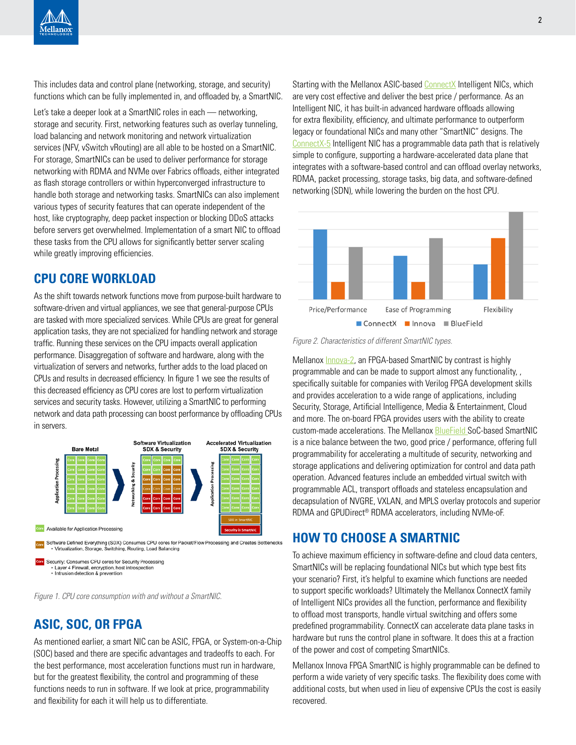This includes data and control plane (networking, storage, and security) functions which can be fully implemented in, and offloaded by, a SmartNIC.

Let's take a deeper look at a SmartNIC roles in each — networking, storage and security. First, networking features such as overlay tunneling, load balancing and network monitoring and network virtualization services (NFV, vSwitch vRouting) are all able to be hosted on a SmartNIC. For storage, SmartNICs can be used to deliver performance for storage networking with RDMA and NVMe over Fabrics offloads, either integrated as flash storage controllers or within hyperconverged infrastructure to handle both storage and networking tasks. SmartNICs can also implement various types of security features that can operate independent of the host, like cryptography, deep packet inspection or blocking DDoS attacks before servers get overwhelmed. Implementation of a smart NIC to offload these tasks from the CPU allows for significantly better server scaling while greatly improving efficiencies.

### **CPU CORE WORKLOAD**

As the shift towards network functions move from purpose-built hardware to software-driven and virtual appliances, we see that general-purpose CPUs are tasked with more specialized services. While CPUs are great for general application tasks, they are not specialized for handling network and storage traffic. Running these services on the CPU impacts overall application performance. Disaggregation of software and hardware, along with the virtualization of servers and networks, further adds to the load placed on CPUs and results in decreased efficiency. In figure 1 we see the results of this decreased efficiency as CPU cores are lost to perform virtualization services and security tasks. However, utilizing a SmartNIC to performing network and data path processing can boost performance by offloading CPUs in servers.



*Figure 1. CPU core consumption with and without a SmartNIC.*

### **ASIC, SOC, OR FPGA**

As mentioned earlier, a smart NIC can be ASIC, FPGA, or System-on-a-Chip (SOC) based and there are specific advantages and tradeoffs to each. For the best performance, most acceleration functions must run in hardware, but for the greatest flexibility, the control and programming of these functions needs to run in software. If we look at price, programmability and flexibility for each it will help us to differentiate.

Starting with the Mellanox ASIC-based [ConnectX](http://ConnectX) Intelligent NICs, which are very cost effective and deliver the best price / performance. As an Intelligent NIC, it has built-in advanced hardware offloads allowing for extra flexibility, efficiency, and ultimate performance to outperform legacy or foundational NICs and many other "SmartNIC" designs. The [ConnectX-5](http://ConnectX-5) Intelligent NIC has a programmable data path that is relatively simple to configure, supporting a hardware-accelerated data plane that integrates with a software-based control and can offload overlay networks, RDMA, packet processing, storage tasks, big data, and software-defined networking (SDN), while lowering the burden on the host CPU.



*Figure 2. Characteristics of different SmartNIC types.*

Mellanox [Innova-2](http://Innova-2), an FPGA-based SmartNIC by contrast is highly programmable and can be made to support almost any functionality, , specifically suitable for companies with Verilog FPGA development skills and provides acceleration to a wide range of applications, including Security, Storage, Artificial Intelligence, Media & Entertainment, Cloud and more. The on-board FPGA provides users with the ability to create custom-made accelerations. The Mellanox [BlueField](http://BlueField ) SoC-based SmartNIC is a nice balance between the two, good price / performance, offering full programmability for accelerating a multitude of security, networking and storage applications and delivering optimization for control and data path operation. Advanced features include an embedded virtual switch with programmable ACL, transport offloads and stateless encapsulation and decapsulation of NVGRE, VXLAN, and MPLS overlay protocols and superior RDMA and GPUDirect® RDMA accelerators, including NVMe-oF.

### **HOW TO CHOOSE A SMARTNIC**

To achieve maximum efficiency in software-define and cloud data centers, SmartNICs will be replacing foundational NICs but which type best fits your scenario? First, it's helpful to examine which functions are needed to support specific workloads? Ultimately the Mellanox ConnectX family of Intelligent NICs provides all the function, performance and flexibility to offload most transports, handle virtual switching and offers some predefined programmability. ConnectX can accelerate data plane tasks in hardware but runs the control plane in software. It does this at a fraction of the power and cost of competing SmartNICs.

Mellanox Innova FPGA SmartNIC is highly programmable can be defined to perform a wide variety of very specific tasks. The flexibility does come with additional costs, but when used in lieu of expensive CPUs the cost is easily recovered.